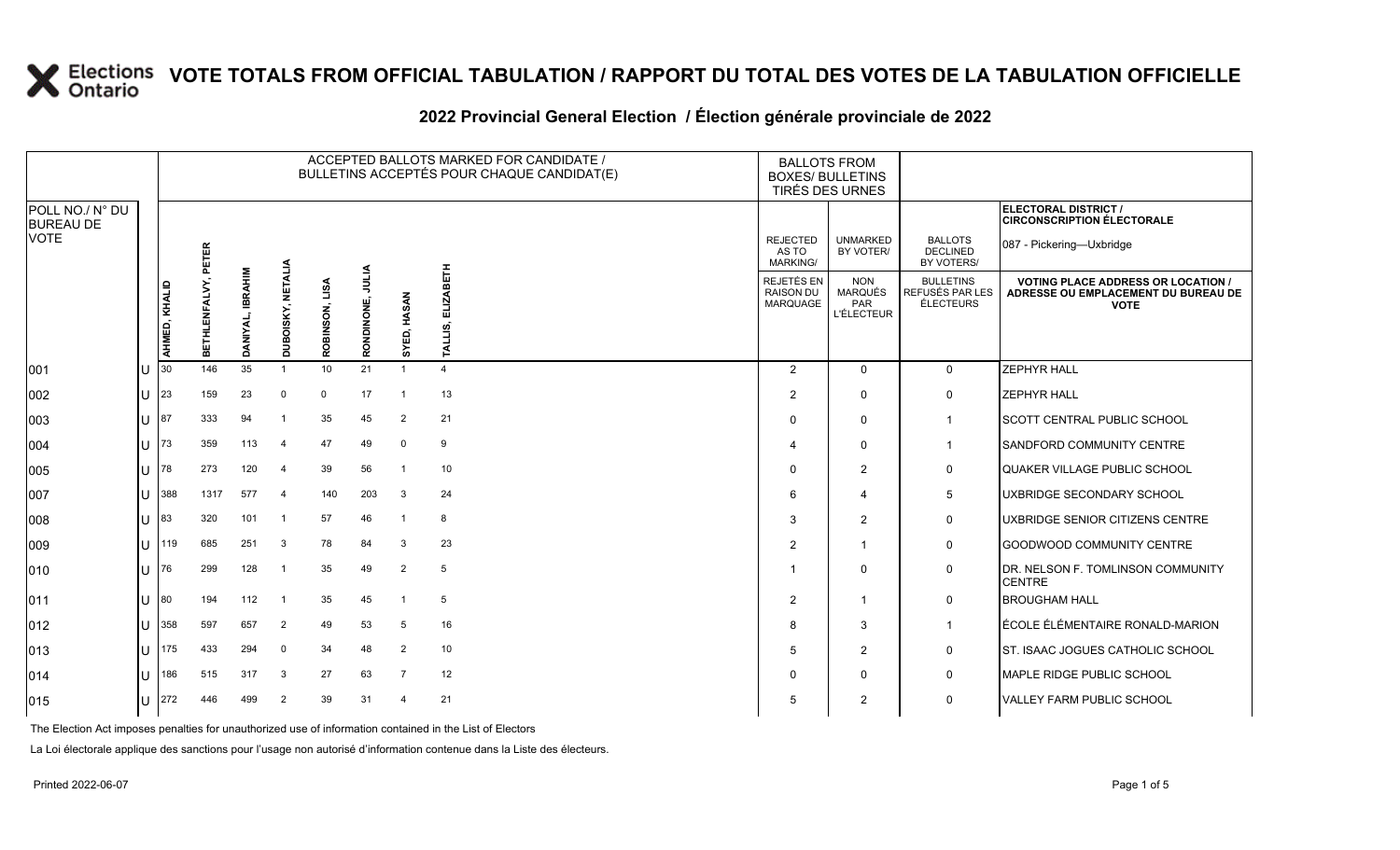#### **2022 Provincial General Election / Élection générale provinciale de 2022**

|                                     |    |               |                                |                            |                   |                |                   |                      | ACCEPTED BALLOTS MARKED FOR CANDIDATE /<br>BULLETINS ACCEPTÉS POUR CHAQUE CANDIDAT(E) | <b>BALLOTS FROM</b><br><b>BOXES/ BULLETINS</b><br>TIRÉS DES URNES |                                                   |                                                  |                                                                                                 |
|-------------------------------------|----|---------------|--------------------------------|----------------------------|-------------------|----------------|-------------------|----------------------|---------------------------------------------------------------------------------------|-------------------------------------------------------------------|---------------------------------------------------|--------------------------------------------------|-------------------------------------------------------------------------------------------------|
| POLL NO./ N° DU<br><b>BUREAU DE</b> |    |               |                                |                            |                   |                |                   |                      |                                                                                       |                                                                   |                                                   |                                                  | ELECTORAL DISTRICT /<br><b>CIRCONSCRIPTION ÉLECTORALE</b>                                       |
| <b>VOTE</b>                         |    |               |                                |                            |                   |                |                   |                      |                                                                                       | <b>REJECTED</b><br>AS TO<br><b>MARKING/</b>                       | <b>UNMARKED</b><br>BY VOTER/                      | <b>BALLOTS</b><br><b>DECLINED</b><br>BY VOTERS/  | 087 - Pickering-Uxbridge                                                                        |
|                                     |    | AHMED, KHALID | ALVY, PETER<br><b>BETHLENF</b> | <b>IBRAHIM</b><br>DANIYAL, | DUBOISKY, NETALIA | ROBINSON, LISA | MTN<br>RONDINONE, | SYED, HASAN          | 푽<br>ALLIS.<br>Н                                                                      | REJETÉS EN<br><b>RAISON DU</b><br>MARQUAGE                        | <b>NON</b><br>MARQUÉS<br>PAR<br><b>L'ÉLECTEUR</b> | <b>BULLETINS</b><br>REFUSÉS PAR LES<br>ÉLECTEURS | <b>VOTING PLACE ADDRESS OR LOCATION /</b><br>ADRESSE OU EMPLACEMENT DU BUREAU DE<br><b>VOTE</b> |
| 001                                 | lu | 30            | 146                            | 35                         | $\overline{1}$    | 10             | 21                | $\blacktriangleleft$ | $\overline{4}$                                                                        | 2                                                                 | $\Omega$                                          | $\overline{0}$                                   | <b>ZEPHYR HALL</b>                                                                              |
| 002                                 | ΙU | 23            | 159                            | 23                         | $\mathbf 0$       | $\mathbf 0$    | 17                | $\overline{1}$       | 13                                                                                    | $\overline{2}$                                                    | $\Omega$                                          | $\mathbf 0$                                      | <b>ZEPHYR HALL</b>                                                                              |
| 003                                 | lu | 87            | 333                            | 94                         | -1                | 35             | 45                | 2                    | 21                                                                                    | $\mathbf 0$                                                       | $\Omega$                                          | $\mathbf{1}$                                     | <b>SCOTT CENTRAL PUBLIC SCHOOL</b>                                                              |
| 004                                 | lu | 73            | 359                            | 113                        | $\overline{4}$    | 47             | 49                | $\mathbf 0$          | 9                                                                                     | $\overline{4}$                                                    | $\Omega$                                          |                                                  | <b>SANDFORD COMMUNITY CENTRE</b>                                                                |
| 005                                 | ΙU | 78            | 273                            | 120                        | $\overline{4}$    | 39             | 56                | $\overline{1}$       | 10                                                                                    | 0                                                                 | $\overline{2}$                                    | $\mathsf{O}$                                     | QUAKER VILLAGE PUBLIC SCHOOL                                                                    |
| 007                                 | lu | 388           | 1317                           | 577                        | $\overline{4}$    | 140            | 203               | 3                    | 24                                                                                    | 6                                                                 | 4                                                 | $5\phantom{.0}$                                  | UXBRIDGE SECONDARY SCHOOL                                                                       |
| 008                                 | lu | 83            | 320                            | 101                        | $\overline{1}$    | 57             | 46                | -1                   | 8                                                                                     | 3                                                                 | $\overline{2}$                                    | $\mathsf{O}$                                     | UXBRIDGE SENIOR CITIZENS CENTRE                                                                 |
| 009                                 | lu | 119           | 685                            | 251                        | $\mathbf{3}$      | 78             | 84                | 3                    | 23                                                                                    | 2                                                                 | -1                                                | $\mathbf 0$                                      | GOODWOOD COMMUNITY CENTRE                                                                       |
| 010                                 | lu | 76            | 299                            | 128                        | $\overline{1}$    | 35             | 49                | 2                    | 5                                                                                     |                                                                   | $\Omega$                                          | $\mathbf 0$                                      | DR. NELSON F. TOMLINSON COMMUNITY<br><b>CENTRE</b>                                              |
| 011                                 | lu | 80            | 194                            | 112                        | $\overline{1}$    | 35             | 45                | $\mathbf{1}$         | 5                                                                                     | $\overline{2}$                                                    |                                                   | $\mathbf 0$                                      | <b>BROUGHAM HALL</b>                                                                            |
| 012                                 | lu | 358           | 597                            | 657                        | 2                 | 49             | 53                | 5                    | 16                                                                                    | 8                                                                 | 3                                                 | $\overline{1}$                                   | ÉCOLE ÉLÉMENTAIRE RONALD-MARION                                                                 |
| 013                                 | lu | 175           | 433                            | 294                        | $\mathbf 0$       | 34             | 48                | $\overline{2}$       | 10                                                                                    | 5                                                                 | $\overline{2}$                                    | $\mathbf{0}$                                     | ST. ISAAC JOGUES CATHOLIC SCHOOL                                                                |
| 014                                 | IП | 186           | 515                            | 317                        | 3                 | 27             | 63                | $\overline{7}$       | 12                                                                                    | $\Omega$                                                          | $\Omega$                                          | $\mathsf{O}$                                     | MAPLE RIDGE PUBLIC SCHOOL                                                                       |
| 015                                 | ΙU | 272           | 446                            | 499                        | $\overline{2}$    | 39             | 31                | $\overline{4}$       | 21                                                                                    | 5                                                                 | $\overline{2}$                                    | $\mathsf{O}$                                     | VALLEY FARM PUBLIC SCHOOL                                                                       |

The Election Act imposes penalties for unauthorized use of information contained in the List of Electors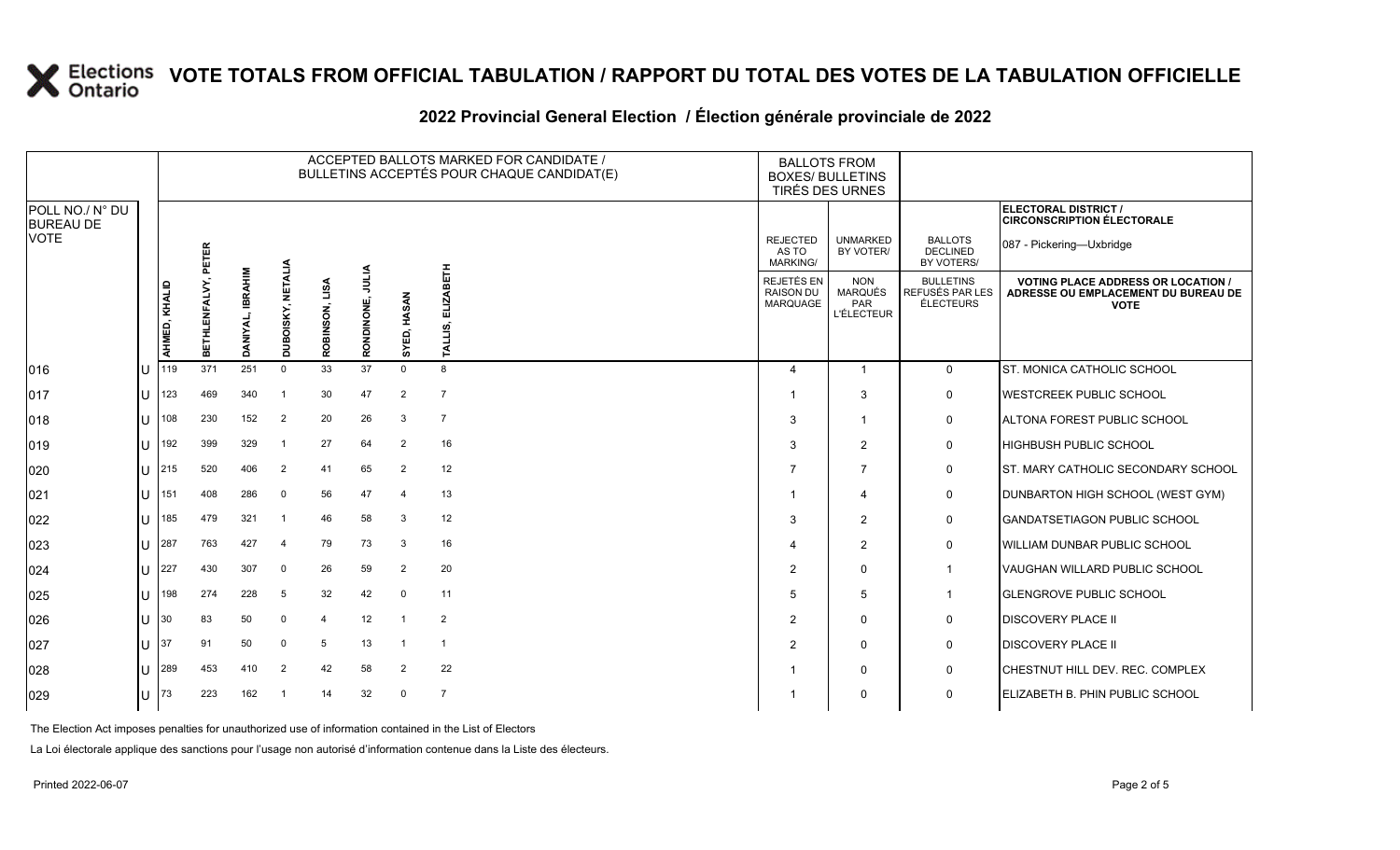#### **2022 Provincial General Election / Élection générale provinciale de 2022**

|                                     |              | ACCEPTED BALLOTS MARKED FOR CANDIDATE /<br>BULLETINS ACCEPTÉS POUR CHAQUE CANDIDAT(E) |               |                  |                          |                   |                     |                |                             | <b>BALLOTS FROM</b><br><b>BOXES/ BULLETINS</b><br>TIRÉS DES URNES |                                                          |                                                  |                                                                                                 |
|-------------------------------------|--------------|---------------------------------------------------------------------------------------|---------------|------------------|--------------------------|-------------------|---------------------|----------------|-----------------------------|-------------------------------------------------------------------|----------------------------------------------------------|--------------------------------------------------|-------------------------------------------------------------------------------------------------|
| POLL NO./ N° DU<br><b>BUREAU DE</b> |              |                                                                                       |               |                  |                          |                   |                     |                |                             |                                                                   |                                                          |                                                  | ELECTORAL DISTRICT /<br><b>CIRCONSCRIPTION ÉLECTORALE</b>                                       |
| <b>VOTE</b>                         |              |                                                                                       | PETER         |                  |                          |                   |                     |                |                             | <b>REJECTED</b><br>AS TO<br><b>MARKING/</b>                       | <b>UNMARKED</b><br>BY VOTER/                             | <b>BALLOTS</b><br><b>DECLINED</b><br>BY VOTERS/  | 087 - Pickering-Uxbridge                                                                        |
|                                     |              | AHMED, KHALID                                                                         | BETHLENFALVY, | DANIYAL, IBRAHIM | DUBOISKY, NETALIA        | LISA<br>ROBINSON, | JULIA<br>RONDINONE, | SYED, HASAN    | <b>ELIZABETH</b><br>TALLIS, | REJETÉS EN<br><b>RAISON DU</b><br>MARQUAGE                        | <b>NON</b><br><b>MARQUÉS</b><br>PAR<br><b>L'ÉLECTEUR</b> | <b>BULLETINS</b><br>REFUSÉS PAR LES<br>ÉLECTEURS | <b>VOTING PLACE ADDRESS OR LOCATION /</b><br>ADRESSE OU EMPLACEMENT DU BUREAU DE<br><b>VOTE</b> |
| $ 016\rangle$                       | l∪           | 119                                                                                   | 371           | 251              | $\mathbf 0$              | 33                | 37                  | $\Omega$       | 8                           | $\overline{4}$                                                    | $\overline{1}$                                           | $\mathbf 0$                                      | ST. MONICA CATHOLIC SCHOOL                                                                      |
| 017                                 | lU           | 123                                                                                   | 469           | 340              | - 1                      | 30                | 47                  | $\overline{2}$ | $\overline{7}$              |                                                                   | 3                                                        | $\mathbf 0$                                      | <b>WESTCREEK PUBLIC SCHOOL</b>                                                                  |
| 018                                 | IП           | 108                                                                                   | 230           | 152              | 2                        | 20                | 26                  | 3              | $\overline{7}$              | 3                                                                 | $\overline{\mathbf{1}}$                                  | 0                                                | ALTONA FOREST PUBLIC SCHOOL                                                                     |
| 019                                 | ΙU           | 192                                                                                   | 399           | 329              | $\overline{1}$           | 27                | 64                  | $\overline{2}$ | 16                          | 3                                                                 | $\overline{2}$                                           | $\mathsf{O}$                                     | <b>HIGHBUSH PUBLIC SCHOOL</b>                                                                   |
| 020                                 | lU           | 215                                                                                   | 520           | 406              | $\overline{2}$           | 41                | 65                  | $\overline{2}$ | 12                          |                                                                   | $\overline{7}$                                           | 0                                                | ST. MARY CATHOLIC SECONDARY SCHOOL                                                              |
| 021                                 | lU           | 151                                                                                   | 408           | 286              | $\overline{0}$           | 56                | 47                  | $\overline{4}$ | 13                          |                                                                   | $\overline{4}$                                           | $\mathbf 0$                                      | DUNBARTON HIGH SCHOOL (WEST GYM)                                                                |
| 022                                 | IП           | 185                                                                                   | 479           | 321              | $\overline{\phantom{0}}$ | 46                | 58                  | 3              | 12                          | 3                                                                 | 2                                                        | $\mathbf 0$                                      | <b>GANDATSETIAGON PUBLIC SCHOOL</b>                                                             |
| 023                                 | lυ           | 287                                                                                   | 763           | 427              | $\overline{\mathcal{A}}$ | 79                | 73                  | 3              | 16                          | $\overline{\mathcal{L}}$                                          | 2                                                        | $\mathbf 0$                                      | <b>WILLIAM DUNBAR PUBLIC SCHOOL</b>                                                             |
| 024                                 | lU           | 227                                                                                   | 430           | 307              | $\mathbf 0$              | 26                | 59                  | $\overline{2}$ | 20                          | 2                                                                 | $\Omega$                                                 | -1                                               | VAUGHAN WILLARD PUBLIC SCHOOL                                                                   |
| 025                                 | IП           | 198                                                                                   | 274           | 228              | 5                        | 32                | 42                  | $\mathbf 0$    | 11                          | .5                                                                | 5                                                        | -1                                               | <b>GLENGROVE PUBLIC SCHOOL</b>                                                                  |
| 026                                 | lU           | 30                                                                                    | 83            | 50               | $\Omega$                 | $\overline{4}$    | 12                  |                | 2                           | $\overline{2}$                                                    | $\mathbf 0$                                              | $\mathbf 0$                                      | <b>DISCOVERY PLACE II</b>                                                                       |
| 027                                 | Ш            | 37                                                                                    | 91            | 50               | $\Omega$                 | 5                 | 13                  |                | $\overline{\mathbf{1}}$     | 2                                                                 | $\mathbf 0$                                              | 0                                                | <b>DISCOVERY PLACE II</b>                                                                       |
| 028                                 | lU           | 289                                                                                   | 453           | 410              | 2                        | 42                | 58                  | $\overline{2}$ | 22                          |                                                                   | $\mathbf 0$                                              | $\mathbf 0$                                      | CHESTNUT HILL DEV. REC. COMPLEX                                                                 |
| 029                                 | $\mathbf{U}$ | 73                                                                                    | 223           | 162              | $\overline{\mathbf{1}}$  | 14                | 32                  | $\mathbf 0$    | $\overline{7}$              |                                                                   | $\Omega$                                                 | $\mathbf 0$                                      | <b>IELIZABETH B. PHIN PUBLIC SCHOOL</b>                                                         |

The Election Act imposes penalties for unauthorized use of information contained in the List of Electors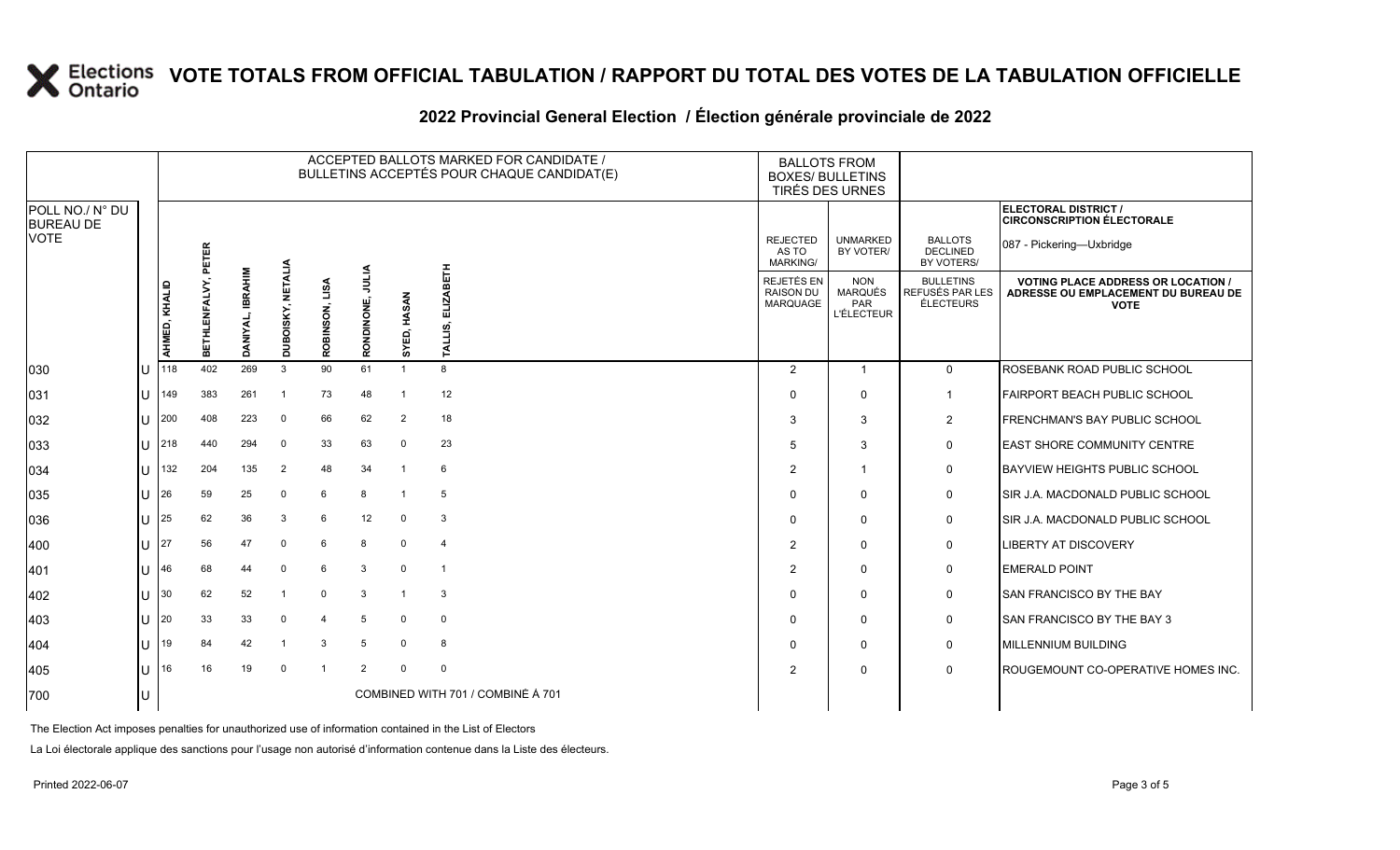#### **2022 Provincial General Election / Élection générale provinciale de 2022**

|                                     |    | ACCEPTED BALLOTS MARKED FOR CANDIDATE /<br>BULLETINS ACCEPTÉS POUR CHAQUE CANDIDAT(E) |               |                  |                          |                   |                     |                |                                   | <b>BALLOTS FROM</b><br><b>BOXES/ BULLETINS</b><br>TIRÉS DES URNES |                                                   |                                                  |                                                                                                 |
|-------------------------------------|----|---------------------------------------------------------------------------------------|---------------|------------------|--------------------------|-------------------|---------------------|----------------|-----------------------------------|-------------------------------------------------------------------|---------------------------------------------------|--------------------------------------------------|-------------------------------------------------------------------------------------------------|
| POLL NO./ N° DU<br><b>BUREAU DE</b> |    |                                                                                       |               |                  |                          |                   |                     |                |                                   |                                                                   |                                                   |                                                  | <b>ELECTORAL DISTRICT /</b><br><b>CIRCONSCRIPTION ÉLECTORALE</b>                                |
| <b>VOTE</b>                         |    |                                                                                       | PETER         |                  |                          |                   |                     |                |                                   | <b>REJECTED</b><br>AS TO<br>MARKING/                              | <b>UNMARKED</b><br>BY VOTER/                      | <b>BALLOTS</b><br><b>DECLINED</b><br>BY VOTERS/  | 087 - Pickering-Uxbridge                                                                        |
|                                     |    | AHMED, KHALID                                                                         | BETHLENFALVY, | DANIYAL, IBRAHIM | <b>DUBOISKY, NETALIA</b> | LISA<br>ROBINSON, | JULIA<br>RONDINONE, | SYED, HASAN    | <b>ELIZABETH</b><br>ALLIS.<br>۳   | REJETÉS EN<br><b>RAISON DU</b><br><b>MARQUAGE</b>                 | <b>NON</b><br>MARQUÉS<br>PAR<br><b>L'ÉLECTEUR</b> | <b>BULLETINS</b><br>REFUSÉS PAR LES<br>ÉLECTEURS | <b>VOTING PLACE ADDRESS OR LOCATION /</b><br>ADRESSE OU EMPLACEMENT DU BUREAU DE<br><b>VOTE</b> |
| 030                                 |    | 118                                                                                   | 402           | 269              | 3                        | 90                | 61                  | $\overline{1}$ | 8                                 | $\overline{2}$                                                    | $\overline{1}$                                    | $\mathbf 0$                                      | ROSEBANK ROAD PUBLIC SCHOOL                                                                     |
| 031                                 | IП | 149                                                                                   | 383           | 261              | - 1                      | 73                | 48                  | -1             | 12                                | $\Omega$                                                          | $\Omega$                                          | 1                                                | FAIRPORT BEACH PUBLIC SCHOOL                                                                    |
| 032                                 | ΠT | 200                                                                                   | 408           | 223              | $\mathbf 0$              | 66                | 62                  | 2              | 18                                | 3                                                                 | 3                                                 | $\overline{\mathbf{c}}$                          | FRENCHMAN'S BAY PUBLIC SCHOOL                                                                   |
| 033                                 | ΙU | 218                                                                                   | 440           | 294              | $\Omega$                 | 33                | 63                  | $\mathbf 0$    | 23                                | .5                                                                | 3                                                 | $\mathbf 0$                                      | <b>EAST SHORE COMMUNITY CENTRE</b>                                                              |
| 034                                 | lυ | 132                                                                                   | 204           | 135              | $\overline{2}$           | 48                | 34                  | -1             | 6                                 | 2                                                                 | -1                                                | 0                                                | BAYVIEW HEIGHTS PUBLIC SCHOOL                                                                   |
| 035                                 | lΗ | 26                                                                                    | 59            | 25               | $\Omega$                 | 6                 | 8                   | -1             | 5                                 | $\Omega$                                                          | $\Omega$                                          | 0                                                | SIR J.A. MACDONALD PUBLIC SCHOOL                                                                |
| 036                                 | U  | 25                                                                                    | 62            | 36               | 3                        | 6                 | 12                  | $\mathbf 0$    | 3                                 | $\Omega$                                                          | $\Omega$                                          | 0                                                | SIR J.A. MACDONALD PUBLIC SCHOOL                                                                |
| 400                                 | ΙU | 27                                                                                    | 56            | 47               | $\mathbf 0$              | 6                 | 8                   | $\mathbf 0$    | $\overline{4}$                    | 2                                                                 | $\mathbf 0$                                       | 0                                                | <b>LIBERTY AT DISCOVERY</b>                                                                     |
| 401                                 | lΗ | 46                                                                                    | 68            | 44               | $\Omega$                 | 6                 | 3                   | $\mathbf 0$    | $\overline{1}$                    | $\overline{2}$                                                    | $\Omega$                                          | $\mathbf 0$                                      | <b>EMERALD POINT</b>                                                                            |
| 402                                 | U  | 30                                                                                    | 62            | 52               | -1                       | $\Omega$          | 3                   | $\overline{1}$ | 3                                 | $\Omega$                                                          | $\Omega$                                          | $\mathbf 0$                                      | SAN FRANCISCO BY THE BAY                                                                        |
| 403                                 | U  | 20                                                                                    | 33            | 33               | $\Omega$                 | $\overline{4}$    | 5                   | $\mathbf 0$    | $\mathbf 0$                       | $\Omega$                                                          | $\Omega$                                          | 0                                                | SAN FRANCISCO BY THE BAY 3                                                                      |
| 404                                 | U  | 19                                                                                    | 84            | 42               | -1                       | 3                 | 5                   | $\mathbf 0$    | 8                                 | $\Omega$                                                          | $\mathbf 0$                                       | 0                                                | MILLENNIUM BUILDING                                                                             |
| 405                                 | lΗ | 16                                                                                    | 16            | 19               | $\mathbf 0$              | $\overline{1}$    | 2                   | $\Omega$       | $\mathbf 0$                       | 2                                                                 | $\Omega$                                          | $\mathbf 0$                                      | ROUGEMOUNT CO-OPERATIVE HOMES INC.                                                              |
| 700                                 | IU |                                                                                       |               |                  |                          |                   |                     |                | COMBINED WITH 701 / COMBINÉ À 701 |                                                                   |                                                   |                                                  |                                                                                                 |

The Election Act imposes penalties for unauthorized use of information contained in the List of Electors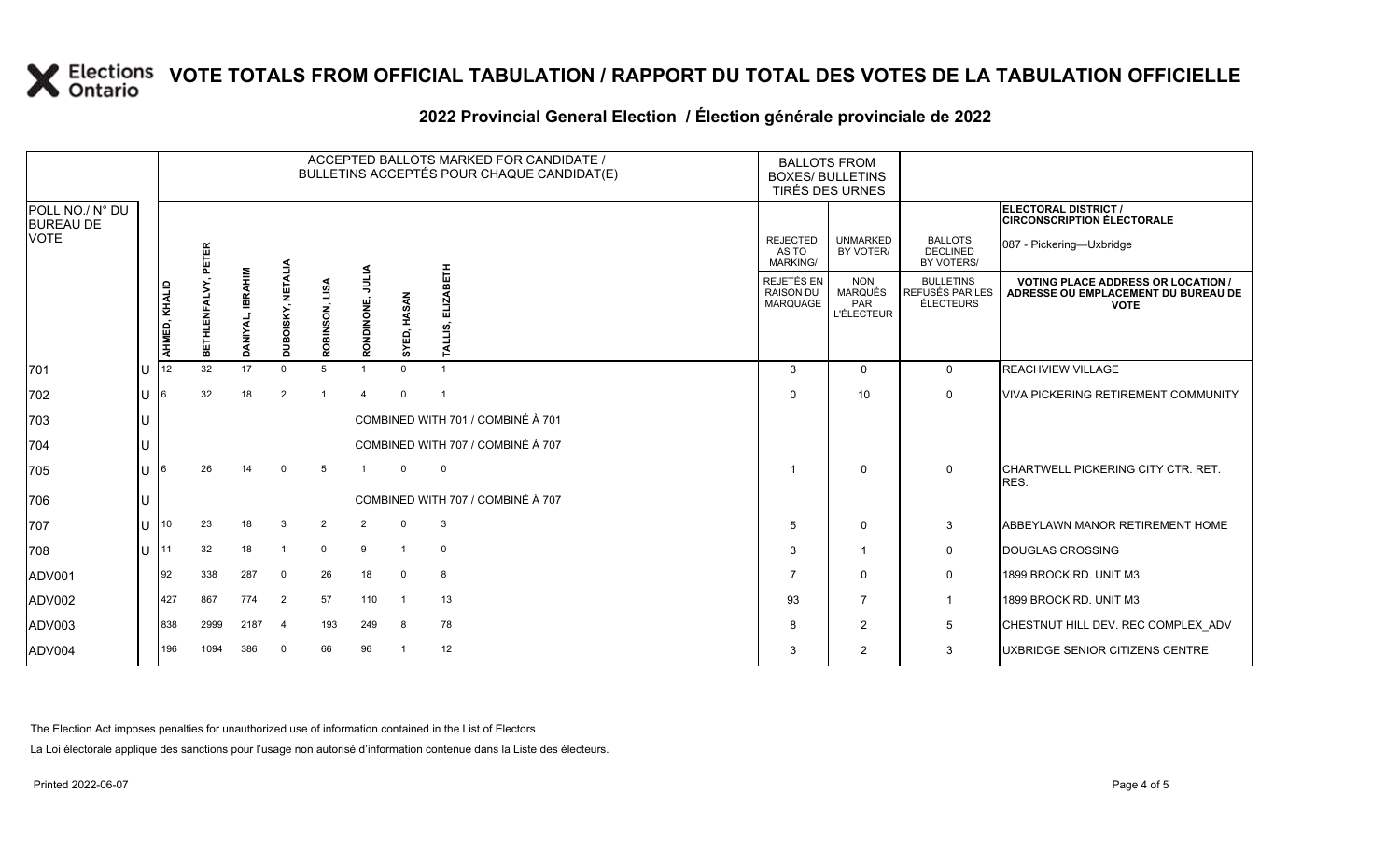| 2022 Provincial General Election / Election générale provinciale de 2022 |  |  |
|--------------------------------------------------------------------------|--|--|
|                                                                          |  |  |

|                                                    |     | ACCEPTED BALLOTS MARKED FOR CANDIDATE /<br>BULLETINS ACCEPTÉS POUR CHAQUE CANDIDAT(E) |                         |                  |                          |                |                            |             |                                   | <b>BALLOTS FROM</b><br><b>BOXES/ BULLETINS</b><br><b>TIRÉS DES URNES</b> |                                                          |                                                  |                                                                                                 |
|----------------------------------------------------|-----|---------------------------------------------------------------------------------------|-------------------------|------------------|--------------------------|----------------|----------------------------|-------------|-----------------------------------|--------------------------------------------------------------------------|----------------------------------------------------------|--------------------------------------------------|-------------------------------------------------------------------------------------------------|
| POLL NO./ N° DU<br><b>BUREAU DE</b><br><b>VOTE</b> |     |                                                                                       | ETER<br>ᇍ               |                  |                          |                |                            |             |                                   | <b>REJECTED</b><br>AS TO<br><b>MARKING/</b>                              | <b>UNMARKED</b><br>BY VOTER/                             | <b>BALLOTS</b><br><b>DECLINED</b><br>BY VOTERS/  | <b>ELECTORAL DISTRICT /</b><br><b>CIRCONSCRIPTION ÉLECTORALE</b><br>087 - Pickering-Uxbridge    |
|                                                    |     | AHMED, KHALID                                                                         | <b>HLENFALVY,</b><br>ЕL | DANIYAL, IBRAHIM | <b>DUBOISKY, NETALIA</b> | ROBINSON, LISA | <b>AITIN</b><br>RONDINONE, | SYED, HASAN | 岳                                 | REJETÉS EN<br><b>RAISON DU</b><br>MARQUAGE                               | <b>NON</b><br><b>MARQUÉS</b><br>PAR<br><b>L'ÉLECTEUR</b> | <b>BULLETINS</b><br>REFUSÉS PAR LES<br>ÉLECTEURS | <b>VOTING PLACE ADDRESS OR LOCATION /</b><br>ADRESSE OU EMPLACEMENT DU BUREAU DE<br><b>VOTE</b> |
| 701                                                | IU  | 12                                                                                    | 32 <sup>°</sup>         | 17               | $\Omega$                 | 5              |                            |             |                                   | 3                                                                        | $\mathbf{0}$                                             | $\Omega$                                         | <b>REACHVIEW VILLAGE</b>                                                                        |
| 702                                                | lul | I6.                                                                                   | 32                      | 18               | $\overline{2}$           |                | $\overline{4}$             | $\Omega$    | $\overline{\mathbf{1}}$           | $\Omega$                                                                 | 10 <sup>1</sup>                                          | $\mathbf 0$                                      | <b>VIVA PICKERING RETIREMENT COMMUNITY</b>                                                      |
| 703                                                | IU  |                                                                                       |                         |                  |                          |                |                            |             | COMBINED WITH 701 / COMBINÉ À 701 |                                                                          |                                                          |                                                  |                                                                                                 |
| 704                                                | ΙU  |                                                                                       |                         |                  |                          |                |                            |             | COMBINED WITH 707 / COMBINÉ À 707 |                                                                          |                                                          |                                                  |                                                                                                 |
| 705                                                | lu  |                                                                                       | 26                      | 14               | $\mathbf{0}$             | 5              | $\overline{1}$             | $\Omega$    | $\mathbf 0$                       |                                                                          | $\mathbf{0}$                                             | $\mathbf 0$                                      | ICHARTWELL PICKERING CITY CTR. RET.<br>RES.                                                     |
| 706                                                | IU  |                                                                                       |                         |                  |                          |                |                            |             | COMBINED WITH 707 / COMBINÉ À 707 |                                                                          |                                                          |                                                  |                                                                                                 |
| 707                                                | lu  | 10                                                                                    | 23                      | 18               | 3                        | 2              | $\overline{2}$             | $\Omega$    | 3                                 | $\overline{5}$                                                           | $\mathbf{0}$                                             | 3                                                | <b>ABBEYLAWN MANOR RETIREMENT HOME</b>                                                          |
| 708                                                | IП  | 11                                                                                    | 32                      | 18               | $\overline{1}$           | $\mathbf 0$    | 9                          |             | $\mathbf 0$                       | 3                                                                        |                                                          | 0                                                | DOUGLAS CROSSING                                                                                |
| ADV001                                             |     | 192                                                                                   | 338                     | 287              | 0                        | 26             | 18                         | $\Omega$    | 8                                 | $\overline{7}$                                                           | $\mathbf{0}$                                             | 0                                                | 1899 BROCK RD. UNIT M3                                                                          |
| ADV002                                             |     | 427                                                                                   | 867                     | 774              | $\overline{2}$           | 57             | 110                        | - 1         | 13                                | 93                                                                       | $\overline{7}$                                           | 1                                                | 1899 BROCK RD. UNIT M3                                                                          |
| ADV003                                             |     | 838                                                                                   | 2999                    | 2187             | $\overline{4}$           | 193            | 249                        | 8           | 78                                | 8                                                                        | $\overline{2}$                                           | 5                                                | CHESTNUT HILL DEV. REC COMPLEX ADV                                                              |
| ADV004                                             |     | 196                                                                                   | 1094                    | 386              | 0                        | 66             | 96                         |             | 12                                | 3                                                                        | $\overline{2}$                                           | 3                                                | UXBRIDGE SENIOR CITIZENS CENTRE                                                                 |

The Election Act imposes penalties for unauthorized use of information contained in the List of Electors